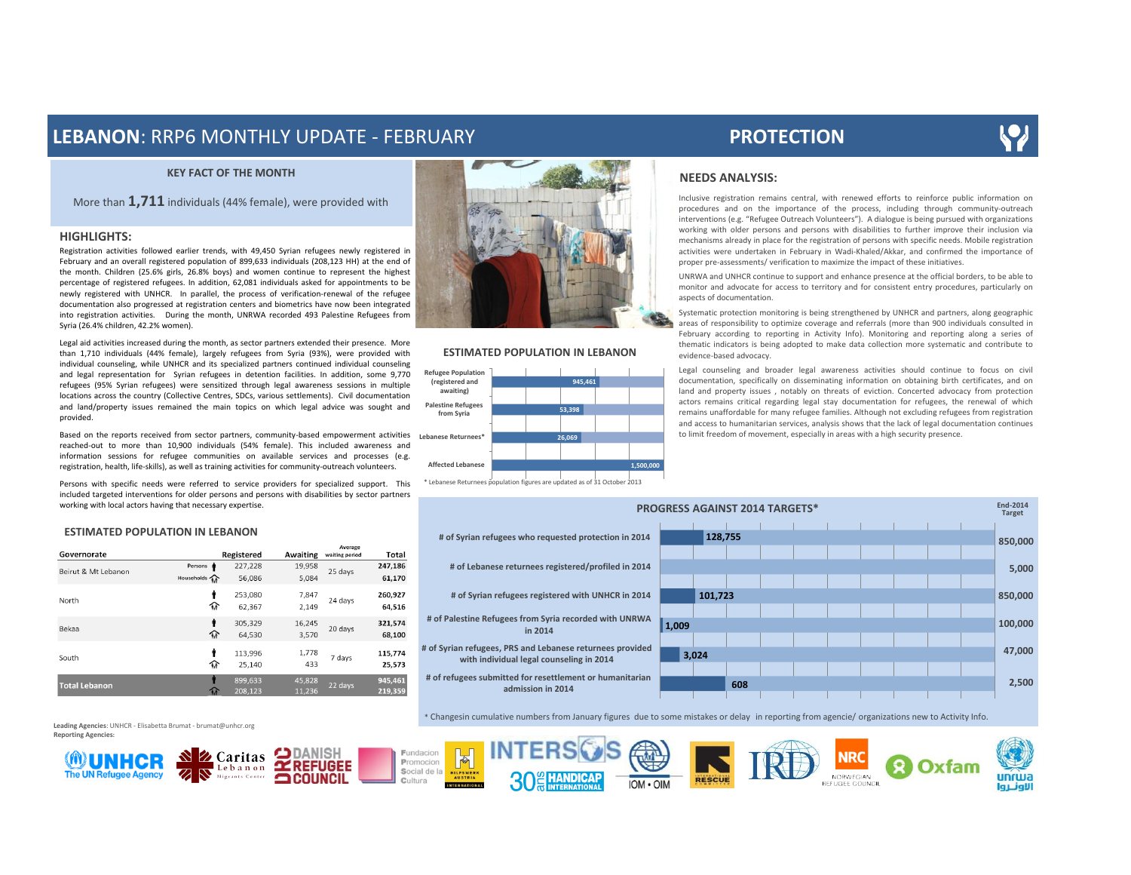# **LEBANON: RRP6 MONTHLY UPDATE - FEBRUARY PROTECTION**

### **KEY FACT OF THE MONTH**

More than **1,711** individuals (44% female), were provided with

### **HIGHLIGHTS:**

Registration activities followed earlier trends, with 49,450 Syrian refugees newly registered in February and an overall registered population of 899,633 individuals (208,123 HH) at the end of the month. Children (25.6% girls, 26.8% boys) and women continue to represent the highest percentage of registered refugees. In addition, 62,081 individuals asked for appointments to be newly registered with UNHCR. In parallel, the process of verification-renewal of the refugee documentation also progressed at registration centers and biometrics have now been integrated into registration activities. During the month, UNRWA recorded 493 Palestine Refugees from Syria (26.4% children, 42.2% women).

Legal aid activities increased during the month, as sector partners extended their presence. More than 1,710 individuals (44% female), largely refugees from Syria (93%), were provided with individual counseling, while UNHCR and its specialized partners continued individual counseling and legal representation for Syrian refugees in detention facilities. In addition, some 9,770 refugees (95% Syrian refugees) were sensitized through legal awareness sessions in multiple locations across the country (Collective Centres, SDCs, various settlements). Civil documentation and land/property issues remained the main topics on which legal advice was sought and provided.

Based on the reports received from sector partners, community-based empowerment activities reached-out to more than 10,900 individuals (54% female). This included awareness and information sessions for refugee communities on available services and processes (e.g. registration, health, life-skills), as well as training activities for community-outreach volunteers.

Persons with specific needs were referred to service providers for specialized support. This included targeted interventions for older persons and persons with disabilities by sector partners working with local actors having that necessary expertise.

### **ESTIMATED POPULATION IN LEBANON**

| Governorate          |                            | Registered | Awaiting | Average<br>waiting period | Total   |
|----------------------|----------------------------|------------|----------|---------------------------|---------|
| Beirut & Mt Lebanon  | Persons $\dot{\mathbf{g}}$ | 227,228    | 19,958   | 25 days                   | 247,186 |
|                      | Households 1               | 56.086     | 5.084    |                           | 61,170  |
|                      | Ť                          | 253.080    | 7.847    |                           | 260.927 |
| North                | 夼                          | 62,367     | 2,149    | 24 days                   | 64,516  |
| Bekaa                | ŧ                          | 305.329    | 16.245   | 20 days                   | 321,574 |
|                      | 夼                          | 64,530     | 3.570    |                           | 68,100  |
| South                | Ť                          | 113,996    | 1,778    | 7 days                    | 115,774 |
|                      | 夼                          | 25.140     | 433      |                           | 25,573  |
| <b>Total Lebanon</b> |                            | 899.633    | 45,828   | 22 days                   | 945,461 |
|                      |                            | 208.123    | 11.236   |                           | 219,359 |



### **ESTIMATED POPULATION IN LEBANON**



\* Lebanese Returnees population figures are updated as of 31 October 2013

**# of Syrian refugees who** 

**# of Lebanese returne** 

**# of Syrian refugees re # of Palestine Refugees from** 

**# of Syrian refugees. PRS and** with individual lega # of refugees submitted for

**in 2014**

admissio

### **NEEDS ANALYSIS:**

Inclusive registration remains central, with renewed efforts to reinforce public information on procedures and on the importance of the process, including through community-outreach interventions (e.g. "Refugee Outreach Volunteers"). A dialogue is being pursued with organizations working with older persons and persons with disabilities to further improve their inclusion via mechanisms already in place for the registration of persons with specific needs. Mobile registration activities were undertaken in February in Wadi-Khaled/Akkar, and confirmed the importance of proper pre-assessments/ verification to maximize the impact of these initiatives.

UNRWA and UNHCR continue to support and enhance presence at the official borders, to be able to monitor and advocate for access to territory and for consistent entry procedures, particularly on aspects of documentation.

Systematic protection monitoring is being strengthened by UNHCR and partners, along geographic areas of responsibility to optimize coverage and referrals (more than 900 individuals consulted in February according to reporting in Activity Info). Monitoring and reporting along a series of thematic indicators is being adopted to make data collection more systematic and contribute to evidence-based advocacy.

Legal counseling and broader legal awareness activities should continue to focus on civil documentation, specifically on disseminating information on obtaining birth certificates, and on land and property issues , notably on threats of eviction. Concerted advocacy from protection actors remains critical regarding legal stay documentation for refugees, the renewal of which remains unaffordable for many refugee families. Although not excluding refugees from registration and access to humanitarian services, analysis shows that the lack of legal documentation continues to limit freedom of movement, especially in areas with a high security presence.

| <b>PROGRESS AGAINST 2014 TARGETS*</b>               |         |         |     |  |  |  |  | <b>End-2014</b><br><b>Target</b> |         |         |
|-----------------------------------------------------|---------|---------|-----|--|--|--|--|----------------------------------|---------|---------|
| requested protection in 2014                        |         | 128,755 |     |  |  |  |  |                                  |         | 850,000 |
| es registered/profiled in 2014                      |         |         |     |  |  |  |  |                                  |         | 5,000   |
| egistered with UNHCR in 2014                        | 101,723 |         |     |  |  |  |  |                                  | 850,000 |         |
| n Syria recorded with UNRWA<br>2014                 | 1,009   |         |     |  |  |  |  |                                  |         | 100,000 |
| Lebanese returnees provided<br>I counseling in 2014 |         | 3,024   |     |  |  |  |  |                                  |         | 47,000  |
| resettlement or humanitarian                        |         |         | 608 |  |  |  |  |                                  |         | 2,500   |
| on in 2014                                          |         |         |     |  |  |  |  |                                  |         |         |

\* Changesin cumulative numbers from January figures due to some mistakes or delay in reporting from agencie/ organizations new to Activity Info.